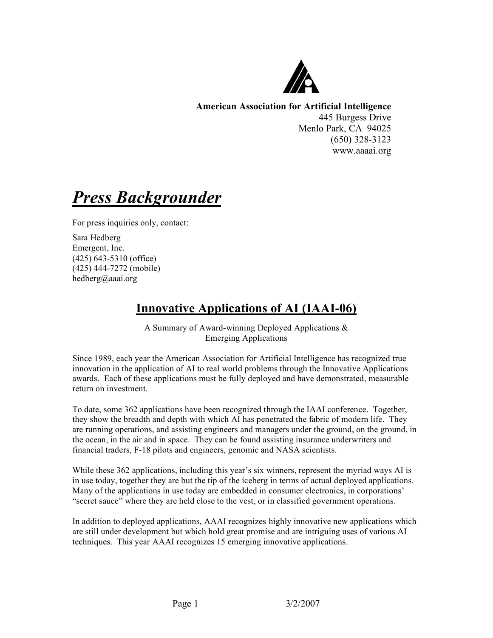

**American Association for Artificial Intelligence** 445 Burgess Drive Menlo Park, CA 94025 (650) 328-3123 www.aaaai.org

*Press Backgrounder*

For press inquiries only, contact:

Sara Hedberg Emergent, Inc. (425) 643-5310 (office) (425) 444-7272 (mobile) hedberg@aaai.org

# **Innovative Applications of AI (IAAI-06)**

A Summary of Award-winning Deployed Applications & Emerging Applications

Since 1989, each year the American Association for Artificial Intelligence has recognized true innovation in the application of AI to real world problems through the Innovative Applications awards. Each of these applications must be fully deployed and have demonstrated, measurable return on investment.

To date, some 362 applications have been recognized through the IAAI conference. Together, they show the breadth and depth with which AI has penetrated the fabric of modern life. They are running operations, and assisting engineers and managers under the ground, on the ground, in the ocean, in the air and in space. They can be found assisting insurance underwriters and financial traders, F-18 pilots and engineers, genomic and NASA scientists.

While these 362 applications, including this year's six winners, represent the myriad ways AI is in use today, together they are but the tip of the iceberg in terms of actual deployed applications. Many of the applications in use today are embedded in consumer electronics, in corporations' "secret sauce" where they are held close to the vest, or in classified government operations.

In addition to deployed applications, AAAI recognizes highly innovative new applications which are still under development but which hold great promise and are intriguing uses of various AI techniques. This year AAAI recognizes 15 emerging innovative applications.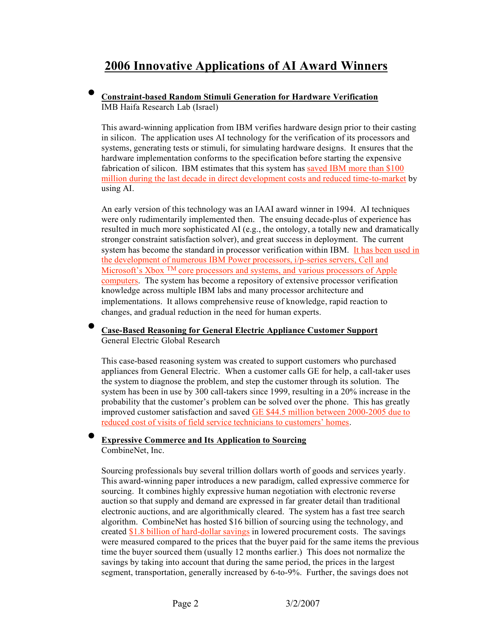# **2006 Innovative Applications of AI Award Winners**

#### • **Constraint-based Random Stimuli Generation for Hardware Verification** IMB Haifa Research Lab (Israel)

This award-winning application from IBM verifies hardware design prior to their casting in silicon. The application uses AI technology for the verification of its processors and systems, generating tests or stimuli, for simulating hardware designs. It ensures that the hardware implementation conforms to the specification before starting the expensive fabrication of silicon. IBM estimates that this system has saved IBM more than \$100 million during the last decade in direct development costs and reduced time-to-market by using AI.

An early version of this technology was an IAAI award winner in 1994. AI techniques were only rudimentarily implemented then. The ensuing decade-plus of experience has resulted in much more sophisticated AI (e.g., the ontology, a totally new and dramatically stronger constraint satisfaction solver), and great success in deployment. The current system has become the standard in processor verification within IBM. It has been used in the development of numerous IBM Power processors, i/p-series servers, Cell and Microsoft's Xbox <sup>TM</sup> core processors and systems, and various processors of Apple computers. The system has become a repository of extensive processor verification knowledge across multiple IBM labs and many processor architecture and implementations. It allows comprehensive reuse of knowledge, rapid reaction to changes, and gradual reduction in the need for human experts.

#### • **Case-Based Reasoning for General Electric Appliance Customer Support** General Electric Global Research

This case-based reasoning system was created to support customers who purchased appliances from General Electric. When a customer calls GE for help, a call-taker uses the system to diagnose the problem, and step the customer through its solution. The system has been in use by 300 call-takers since 1999, resulting in a 20% increase in the probability that the customer's problem can be solved over the phone. This has greatly improved customer satisfaction and saved GE \$44.5 million between 2000-2005 due to reduced cost of visits of field service technicians to customers' homes.

## • **Expressive Commerce and Its Application to Sourcing**

CombineNet, Inc.

Sourcing professionals buy several trillion dollars worth of goods and services yearly. This award-winning paper introduces a new paradigm, called expressive commerce for sourcing. It combines highly expressive human negotiation with electronic reverse auction so that supply and demand are expressed in far greater detail than traditional electronic auctions, and are algorithmically cleared. The system has a fast tree search algorithm. CombineNet has hosted \$16 billion of sourcing using the technology, and created \$1.8 billion of hard-dollar savings in lowered procurement costs. The savings were measured compared to the prices that the buyer paid for the same items the previous time the buyer sourced them (usually 12 months earlier.) This does not normalize the savings by taking into account that during the same period, the prices in the largest segment, transportation, generally increased by 6-to-9%. Further, the savings does not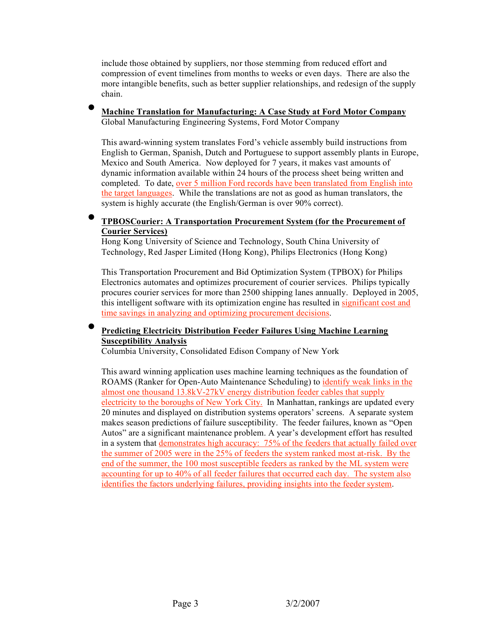include those obtained by suppliers, nor those stemming from reduced effort and compression of event timelines from months to weeks or even days. There are also the more intangible benefits, such as better supplier relationships, and redesign of the supply chain.

#### • **Machine Translation for Manufacturing: A Case Study at Ford Motor Company** Global Manufacturing Engineering Systems, Ford Motor Company

This award-winning system translates Ford's vehicle assembly build instructions from English to German, Spanish, Dutch and Portuguese to support assembly plants in Europe, Mexico and South America. Now deployed for 7 years, it makes vast amounts of dynamic information available within 24 hours of the process sheet being written and completed. To date, over 5 million Ford records have been translated from English into the target languages. While the translations are not as good as human translators, the system is highly accurate (the English/German is over 90% correct).

#### • **TPBOSCourier: A Transportation Procurement System (for the Procurement of Courier Services)**

Hong Kong University of Science and Technology, South China University of Technology, Red Jasper Limited (Hong Kong), Philips Electronics (Hong Kong)

This Transportation Procurement and Bid Optimization System (TPBOX) for Philips Electronics automates and optimizes procurement of courier services. Philips typically procures courier services for more than 2500 shipping lanes annually. Deployed in 2005, this intelligent software with its optimization engine has resulted in significant cost and time savings in analyzing and optimizing procurement decisions.

#### • **Predicting Electricity Distribution Feeder Failures Using Machine Learning Susceptibility Analysis**

Columbia University, Consolidated Edison Company of New York

This award winning application uses machine learning techniques as the foundation of ROAMS (Ranker for Open-Auto Maintenance Scheduling) to identify weak links in the almost one thousand 13.8kV-27kV energy distribution feeder cables that supply electricity to the boroughs of New York City. In Manhattan, rankings are updated every 20 minutes and displayed on distribution systems operators' screens. A separate system makes season predictions of failure susceptibility. The feeder failures, known as "Open Autos" are a significant maintenance problem. A year's development effort has resulted in a system that demonstrates high accuracy: 75% of the feeders that actually failed over the summer of 2005 were in the 25% of feeders the system ranked most at-risk. By the end of the summer, the 100 most susceptible feeders as ranked by the ML system were accounting for up to 40% of all feeder failures that occurred each day. The system also identifies the factors underlying failures, providing insights into the feeder system.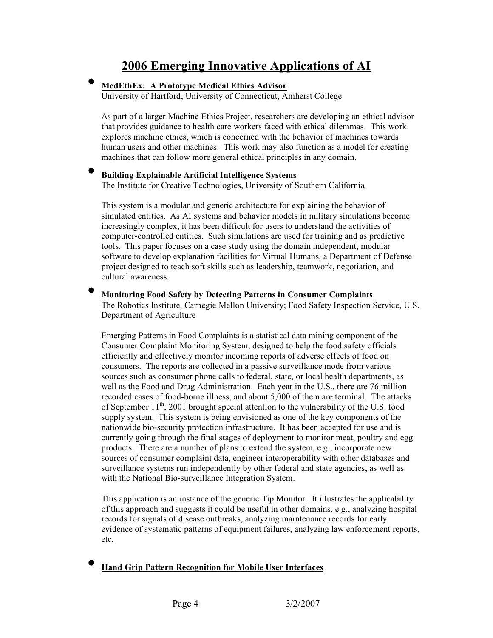## **2006 Emerging Innovative Applications of AI**

#### • **MedEthEx: <sup>A</sup> Prototype Medical Ethics Advisor**

University of Hartford, University of Connecticut, Amherst College

As part of a larger Machine Ethics Project, researchers are developing an ethical advisor that provides guidance to health care workers faced with ethical dilemmas. This work explores machine ethics, which is concerned with the behavior of machines towards human users and other machines. This work may also function as a model for creating machines that can follow more general ethical principles in any domain.

#### • **Building Explainable Artificial Intelligence Systems**

The Institute for Creative Technologies, University of Southern California

This system is a modular and generic architecture for explaining the behavior of simulated entities. As AI systems and behavior models in military simulations become increasingly complex, it has been difficult for users to understand the activities of computer-controlled entities. Such simulations are used for training and as predictive tools. This paper focuses on a case study using the domain independent, modular software to develop explanation facilities for Virtual Humans, a Department of Defense project designed to teach soft skills such as leadership, teamwork, negotiation, and cultural awareness.

• **Monitoring Food Safety by Detecting Patterns in Consumer Complaints** The Robotics Institute, Carnegie Mellon University; Food Safety Inspection Service, U.S. Department of Agriculture

Emerging Patterns in Food Complaints is a statistical data mining component of the Consumer Complaint Monitoring System, designed to help the food safety officials efficiently and effectively monitor incoming reports of adverse effects of food on consumers. The reports are collected in a passive surveillance mode from various sources such as consumer phone calls to federal, state, or local health departments, as well as the Food and Drug Administration. Each year in the U.S., there are 76 million recorded cases of food-borne illness, and about 5,000 of them are terminal. The attacks of September  $11^{th}$ , 2001 brought special attention to the vulnerability of the U.S. food supply system. This system is being envisioned as one of the key components of the nationwide bio-security protection infrastructure. It has been accepted for use and is currently going through the final stages of deployment to monitor meat, poultry and egg products. There are a number of plans to extend the system, e.g., incorporate new sources of consumer complaint data, engineer interoperability with other databases and surveillance systems run independently by other federal and state agencies, as well as with the National Bio-surveillance Integration System.

This application is an instance of the generic Tip Monitor. It illustrates the applicability of this approach and suggests it could be useful in other domains, e.g., analyzing hospital records for signals of disease outbreaks, analyzing maintenance records for early evidence of systematic patterns of equipment failures, analyzing law enforcement reports, etc.

• **Hand Grip Pattern Recognition for Mobile User Interfaces**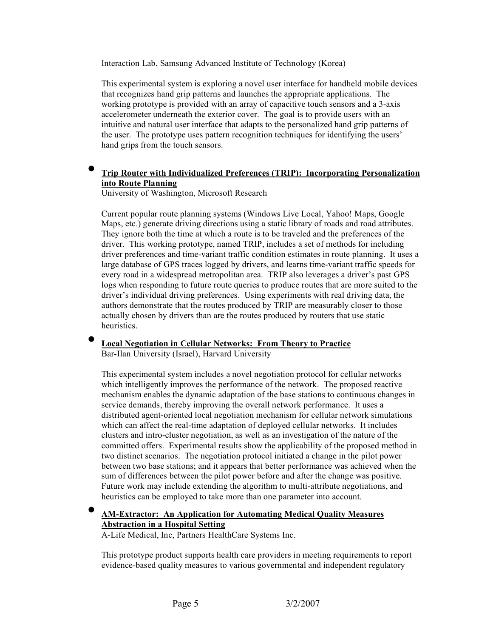Interaction Lab, Samsung Advanced Institute of Technology (Korea)

This experimental system is exploring a novel user interface for handheld mobile devices that recognizes hand grip patterns and launches the appropriate applications. The working prototype is provided with an array of capacitive touch sensors and a 3-axis accelerometer underneath the exterior cover. The goal is to provide users with an intuitive and natural user interface that adapts to the personalized hand grip patterns of the user. The prototype uses pattern recognition techniques for identifying the users' hand grips from the touch sensors.

#### • **Trip Router with Individualized Preferences (TRIP): Incorporating Personalization into Route Planning**

University of Washington, Microsoft Research

Current popular route planning systems (Windows Live Local, Yahoo! Maps, Google Maps, etc.) generate driving directions using a static library of roads and road attributes. They ignore both the time at which a route is to be traveled and the preferences of the driver. This working prototype, named TRIP, includes a set of methods for including driver preferences and time-variant traffic condition estimates in route planning. It uses a large database of GPS traces logged by drivers, and learns time-variant traffic speeds for every road in a widespread metropolitan area. TRIP also leverages a driver's past GPS logs when responding to future route queries to produce routes that are more suited to the driver's individual driving preferences. Using experiments with real driving data, the authors demonstrate that the routes produced by TRIP are measurably closer to those actually chosen by drivers than are the routes produced by routers that use static **heuristics** 

#### • **Local Negotiation in Cellular Networks: From Theory to Practice**

Bar-Ilan University (Israel), Harvard University

This experimental system includes a novel negotiation protocol for cellular networks which intelligently improves the performance of the network. The proposed reactive mechanism enables the dynamic adaptation of the base stations to continuous changes in service demands, thereby improving the overall network performance. It uses a distributed agent-oriented local negotiation mechanism for cellular network simulations which can affect the real-time adaptation of deployed cellular networks. It includes clusters and intro-cluster negotiation, as well as an investigation of the nature of the committed offers. Experimental results show the applicability of the proposed method in two distinct scenarios. The negotiation protocol initiated a change in the pilot power between two base stations; and it appears that better performance was achieved when the sum of differences between the pilot power before and after the change was positive. Future work may include extending the algorithm to multi-attribute negotiations, and heuristics can be employed to take more than one parameter into account.

## • **AM-Extractor: An Application for Automating Medical Quality Measures Abstraction in a Hospital Setting**

A-Life Medical, Inc, Partners HealthCare Systems Inc.

This prototype product supports health care providers in meeting requirements to report evidence-based quality measures to various governmental and independent regulatory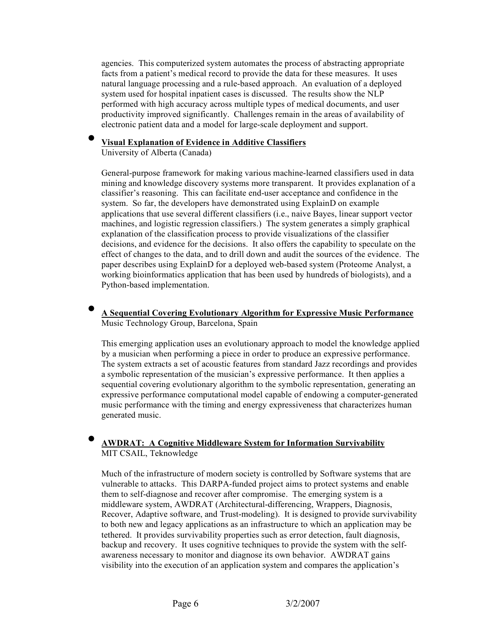agencies. This computerized system automates the process of abstracting appropriate facts from a patient's medical record to provide the data for these measures. It uses natural language processing and a rule-based approach. An evaluation of a deployed system used for hospital inpatient cases is discussed. The results show the NLP performed with high accuracy across multiple types of medical documents, and user productivity improved significantly. Challenges remain in the areas of availability of electronic patient data and a model for large-scale deployment and support.

#### • **Visual Explanation of Evidence in Additive Classifiers**

University of Alberta (Canada)

General-purpose framework for making various machine-learned classifiers used in data mining and knowledge discovery systems more transparent. It provides explanation of a classifier's reasoning. This can facilitate end-user acceptance and confidence in the system. So far, the developers have demonstrated using ExplainD on example applications that use several different classifiers (i.e., naive Bayes, linear support vector machines, and logistic regression classifiers.) The system generates a simply graphical explanation of the classification process to provide visualizations of the classifier decisions, and evidence for the decisions. It also offers the capability to speculate on the effect of changes to the data, and to drill down and audit the sources of the evidence. The paper describes using ExplainD for a deployed web-based system (Proteome Analyst, a working bioinformatics application that has been used by hundreds of biologists), and a Python-based implementation.

#### • **<sup>A</sup> Sequential Covering Evolutionary Algorithm for Expressive Music Performance** Music Technology Group, Barcelona, Spain

This emerging application uses an evolutionary approach to model the knowledge applied by a musician when performing a piece in order to produce an expressive performance. The system extracts a set of acoustic features from standard Jazz recordings and provides a symbolic representation of the musician's expressive performance. It then applies a sequential covering evolutionary algorithm to the symbolic representation, generating an expressive performance computational model capable of endowing a computer-generated music performance with the timing and energy expressiveness that characterizes human generated music.

#### • **AWDRAT: <sup>A</sup> Cognitive Middleware System for Information Survivability** MIT CSAIL, Teknowledge

Much of the infrastructure of modern society is controlled by Software systems that are vulnerable to attacks. This DARPA-funded project aims to protect systems and enable them to self-diagnose and recover after compromise. The emerging system is a middleware system, AWDRAT (Architectural-differencing, Wrappers, Diagnosis, Recover, Adaptive software, and Trust-modeling). It is designed to provide survivability to both new and legacy applications as an infrastructure to which an application may be tethered. It provides survivability properties such as error detection, fault diagnosis, backup and recovery. It uses cognitive techniques to provide the system with the selfawareness necessary to monitor and diagnose its own behavior. AWDRAT gains visibility into the execution of an application system and compares the application's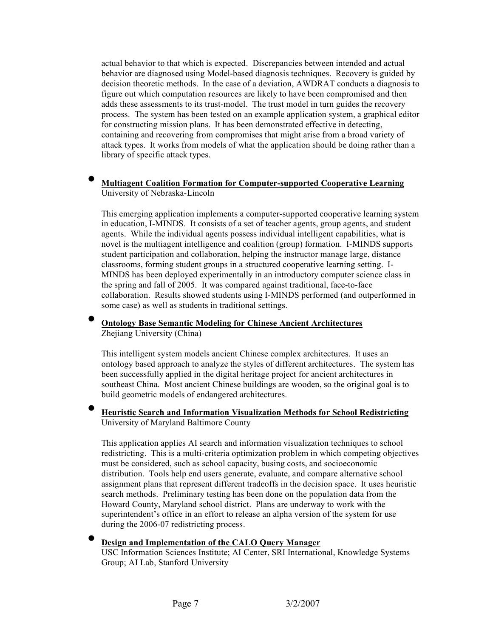actual behavior to that which is expected. Discrepancies between intended and actual behavior are diagnosed using Model-based diagnosis techniques. Recovery is guided by decision theoretic methods. In the case of a deviation, AWDRAT conducts a diagnosis to figure out which computation resources are likely to have been compromised and then adds these assessments to its trust-model. The trust model in turn guides the recovery process. The system has been tested on an example application system, a graphical editor for constructing mission plans. It has been demonstrated effective in detecting, containing and recovering from compromises that might arise from a broad variety of attack types. It works from models of what the application should be doing rather than a library of specific attack types.

#### • **Multiagent Coalition Formation for Computer-supported Cooperative Learning** University of Nebraska-Lincoln

This emerging application implements a computer-supported cooperative learning system in education, I-MINDS. It consists of a set of teacher agents, group agents, and student agents. While the individual agents possess individual intelligent capabilities, what is novel is the multiagent intelligence and coalition (group) formation. I-MINDS supports student participation and collaboration, helping the instructor manage large, distance classrooms, forming student groups in a structured cooperative learning setting. I-MINDS has been deployed experimentally in an introductory computer science class in the spring and fall of 2005. It was compared against traditional, face-to-face collaboration. Results showed students using I-MINDS performed (and outperformed in some case) as well as students in traditional settings.

#### • **Ontology Base Semantic Modeling for Chinese Ancient Architectures** Zhejiang University (China)

This intelligent system models ancient Chinese complex architectures. It uses an ontology based approach to analyze the styles of different architectures. The system has been successfully applied in the digital heritage project for ancient architectures in southeast China. Most ancient Chinese buildings are wooden, so the original goal is to build geometric models of endangered architectures.

#### • **Heuristic Search and Information Visualization Methods for School Redistricting** University of Maryland Baltimore County

This application applies AI search and information visualization techniques to school redistricting. This is a multi-criteria optimization problem in which competing objectives must be considered, such as school capacity, busing costs, and socioeconomic distribution. Tools help end users generate, evaluate, and compare alternative school assignment plans that represent different tradeoffs in the decision space. It uses heuristic search methods. Preliminary testing has been done on the population data from the Howard County, Maryland school district. Plans are underway to work with the superintendent's office in an effort to release an alpha version of the system for use during the 2006-07 redistricting process.

#### • **Design and Implementation of the CALO Query Manager**

USC Information Sciences Institute; AI Center, SRI International, Knowledge Systems Group; AI Lab, Stanford University